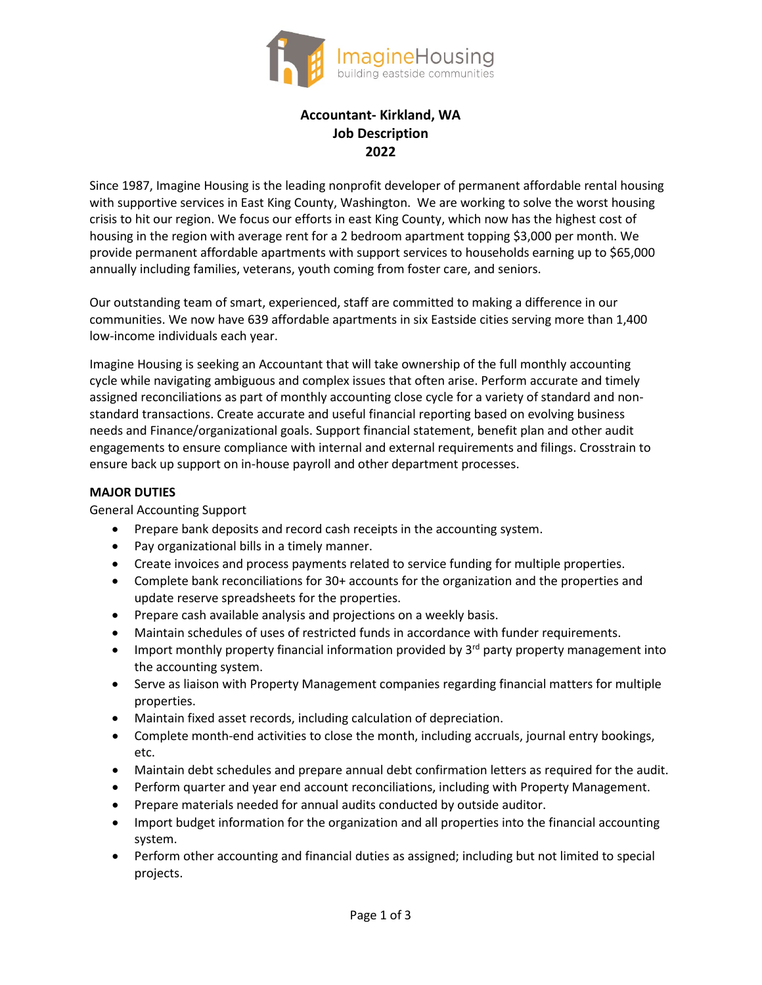

# **Accountant- Kirkland, WA Job Description 2022**

Since 1987, Imagine Housing is the leading nonprofit developer of permanent affordable rental housing with supportive services in East King County, Washington. We are working to solve the worst housing crisis to hit our region. We focus our efforts in east King County, which now has the highest cost of housing in the region with average rent for a 2 bedroom apartment topping \$3,000 per month. We provide permanent affordable apartments with support services to households earning up to \$65,000 annually including families, veterans, youth coming from foster care, and seniors.

Our outstanding team of smart, experienced, staff are committed to making a difference in our communities. We now have 639 affordable apartments in six Eastside cities serving more than 1,400 low-income individuals each year.

Imagine Housing is seeking an Accountant that will take ownership of the full monthly accounting cycle while navigating ambiguous and complex issues that often arise. Perform accurate and timely assigned reconciliations as part of monthly accounting close cycle for a variety of standard and nonstandard transactions. Create accurate and useful financial reporting based on evolving business needs and Finance/organizational goals. Support financial statement, benefit plan and other audit engagements to ensure compliance with internal and external requirements and filings. Crosstrain to ensure back up support on in-house payroll and other department processes.

#### **MAJOR DUTIES**

General Accounting Support

- Prepare bank deposits and record cash receipts in the accounting system.
- Pay organizational bills in a timely manner.
- Create invoices and process payments related to service funding for multiple properties.
- Complete bank reconciliations for 30+ accounts for the organization and the properties and update reserve spreadsheets for the properties.
- Prepare cash available analysis and projections on a weekly basis.
- Maintain schedules of uses of restricted funds in accordance with funder requirements.
- Import monthly property financial information provided by 3<sup>rd</sup> party property management into the accounting system.
- Serve as liaison with Property Management companies regarding financial matters for multiple properties.
- Maintain fixed asset records, including calculation of depreciation.
- Complete month-end activities to close the month, including accruals, journal entry bookings, etc.
- Maintain debt schedules and prepare annual debt confirmation letters as required for the audit.
- Perform quarter and year end account reconciliations, including with Property Management.
- Prepare materials needed for annual audits conducted by outside auditor.
- Import budget information for the organization and all properties into the financial accounting system.
- Perform other accounting and financial duties as assigned; including but not limited to special projects.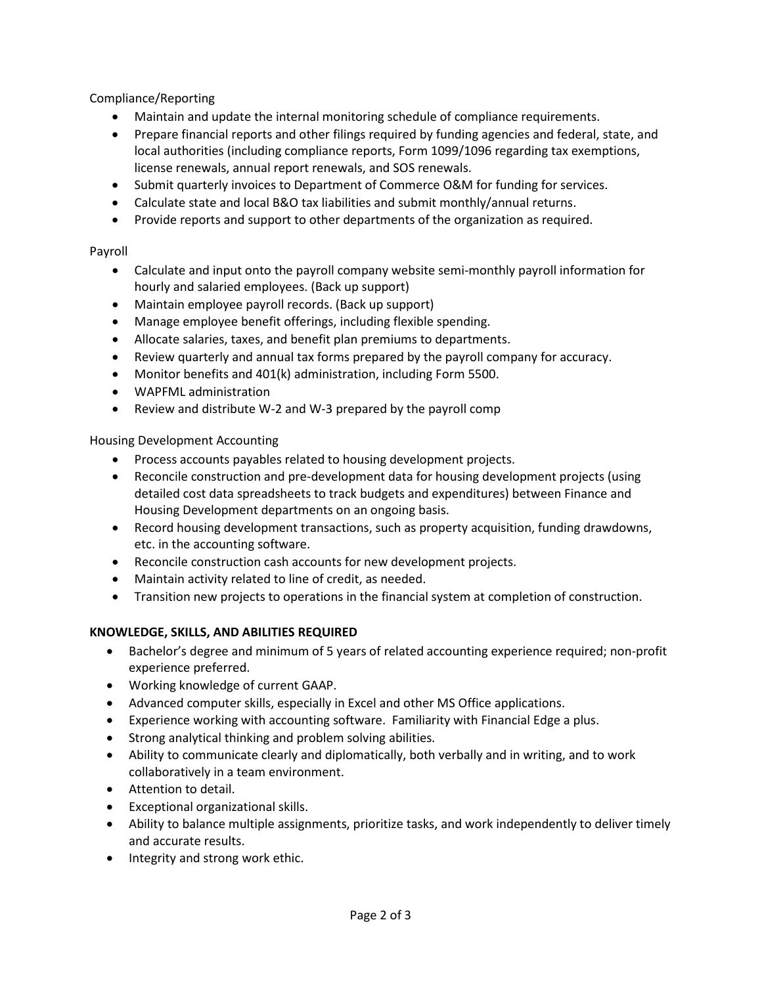Compliance/Reporting

- Maintain and update the internal monitoring schedule of compliance requirements.
- Prepare financial reports and other filings required by funding agencies and federal, state, and local authorities (including compliance reports, Form 1099/1096 regarding tax exemptions, license renewals, annual report renewals, and SOS renewals.
- Submit quarterly invoices to Department of Commerce O&M for funding for services.
- Calculate state and local B&O tax liabilities and submit monthly/annual returns.
- Provide reports and support to other departments of the organization as required.

#### Payroll

- Calculate and input onto the payroll company website semi-monthly payroll information for hourly and salaried employees. (Back up support)
- Maintain employee payroll records. (Back up support)
- Manage employee benefit offerings, including flexible spending.
- Allocate salaries, taxes, and benefit plan premiums to departments.
- Review quarterly and annual tax forms prepared by the payroll company for accuracy.
- Monitor benefits and 401(k) administration, including Form 5500.
- WAPFML administration
- Review and distribute W-2 and W-3 prepared by the payroll comp

Housing Development Accounting

- Process accounts payables related to housing development projects.
- Reconcile construction and pre-development data for housing development projects (using detailed cost data spreadsheets to track budgets and expenditures) between Finance and Housing Development departments on an ongoing basis.
- Record housing development transactions, such as property acquisition, funding drawdowns, etc. in the accounting software.
- Reconcile construction cash accounts for new development projects.
- Maintain activity related to line of credit, as needed.
- Transition new projects to operations in the financial system at completion of construction.

# **KNOWLEDGE, SKILLS, AND ABILITIES REQUIRED**

- Bachelor's degree and minimum of 5 years of related accounting experience required; non-profit experience preferred.
- Working knowledge of current GAAP.
- Advanced computer skills, especially in Excel and other MS Office applications.
- Experience working with accounting software. Familiarity with Financial Edge a plus.
- Strong analytical thinking and problem solving abilities.
- Ability to communicate clearly and diplomatically, both verbally and in writing, and to work collaboratively in a team environment.
- Attention to detail.
- Exceptional organizational skills.
- Ability to balance multiple assignments, prioritize tasks, and work independently to deliver timely and accurate results.
- Integrity and strong work ethic.